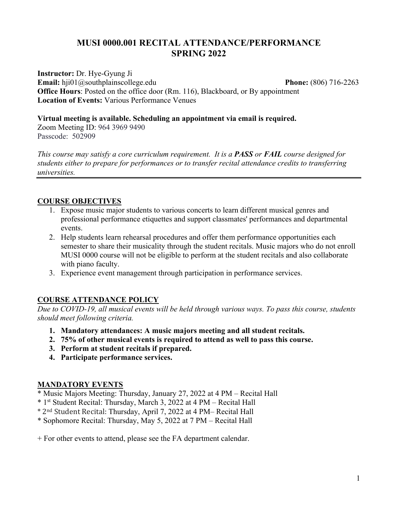# **MUSI 0000.001 RECITAL ATTENDANCE/PERFORMANCE SPRING 2022**

**Instructor:** Dr. Hye-Gyung Ji **Email:** hji01@southplainscollege.edu **Phone:** (806) 716-2263 **Office Hours**: Posted on the office door (Rm. 116), Blackboard, or By appointment **Location of Events:** Various Performance Venues

**Virtual meeting is available. Scheduling an appointment via email is required.** 

Zoom Meeting ID: 964 3969 9490 Passcode: 502909

*This course may satisfy a core curriculum requirement. It is a PASS or FAIL course designed for students either to prepare for performances or to transfer recital attendance credits to transferring universities.* 

### **COURSE OBJECTIVES**

- 1. Expose music major students to various concerts to learn different musical genres and professional performance etiquettes and support classmates' performances and departmental events.
- 2. Help students learn rehearsal procedures and offer them performance opportunities each semester to share their musicality through the student recitals. Music majors who do not enroll MUSI 0000 course will not be eligible to perform at the student recitals and also collaborate with piano faculty.
- 3. Experience event management through participation in performance services.

### **COURSE ATTENDANCE POLICY**

*Due to COVID-19, all musical events will be held through various ways. To pass this course, students should meet following criteria.* 

- **1. Mandatory attendances: A music majors meeting and all student recitals.**
- **2. 75% of other musical events is required to attend as well to pass this course.**
- **3. Perform at student recitals if prepared.**
- **4. Participate performance services.**

#### **MANDATORY EVENTS**

- \* Music Majors Meeting: Thursday, January 27, 2022 at 4 PM Recital Hall
- \* 1st Student Recital: Thursday, March 3, 2022 at 4 PM Recital Hall
- \* 2nd Student Recital: Thursday, April 7, 2022 at 4 PM– Recital Hall
- \* Sophomore Recital: Thursday, May 5, 2022 at 7 PM Recital Hall

+ For other events to attend, please see the FA department calendar.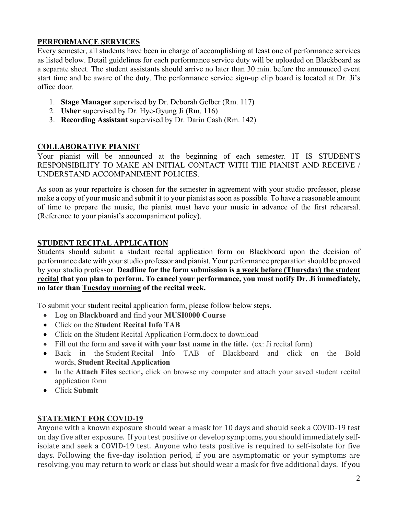## **PERFORMANCE SERVICES**

Every semester, all students have been in charge of accomplishing at least one of performance services as listed below. Detail guidelines for each performance service duty will be uploaded on Blackboard as a separate sheet. The student assistants should arrive no later than 30 min. before the announced event start time and be aware of the duty. The performance service sign-up clip board is located at Dr. Ji's office door.

- 1. **Stage Manager** supervised by Dr. Deborah Gelber (Rm. 117)
- 2. **Usher** supervised by Dr. Hye-Gyung Ji (Rm. 116)
- 3. **Recording Assistant** supervised by Dr. Darin Cash (Rm. 142)

## **COLLABORATIVE PIANIST**

Your pianist will be announced at the beginning of each semester. IT IS STUDENT'S RESPONSIBILITY TO MAKE AN INITIAL CONTACT WITH THE PIANIST AND RECEIVE / UNDERSTAND ACCOMPANIMENT POLICIES.

As soon as your repertoire is chosen for the semester in agreement with your studio professor, please make a copy of your music and submit it to your pianist as soon as possible. To have a reasonable amount of time to prepare the music, the pianist must have your music in advance of the first rehearsal. (Reference to your pianist's accompaniment policy).

## **STUDENT RECITAL APPLICATION**

Students should submit a student recital application form on Blackboard upon the decision of performance date with your studio professor and pianist. Your performance preparation should be proved by your studio professor. **Deadline for the form submission is a week before (Thursday) the student recital that you plan to perform. To cancel your performance, you must notify Dr. Ji immediately, no later than Tuesday morning of the recital week.**

To submit your student recital application form, please follow below steps.

- Log on **Blackboard** and find your **MUSI0000 Course**
- Click on the **Student Recital Info TAB**
- Click on the Student Recital Application Form.docx to download
- Fill out the form and **save it with your last name in the title.** (ex: Ji recital form)
- Back in the Student Recital Info TAB of Blackboard and click on the Bold words, **Student Recital Application**
- In the **Attach Files** section**,** click on browse my computer and attach your saved student recital application form
- Click **Submit**

## **STATEMENT FOR COVID-19**

Anyone with a known exposure should wear a mask for 10 days and should seek a COVID-19 test on day five after exposure. If you test positive or develop symptoms, you should immediately selfisolate and seek a COVID-19 test. Anyone who tests positive is required to self-isolate for five days. Following the five-day isolation period, if you are asymptomatic or your symptoms are resolving, you may return to work or class but should wear a mask for five additional days. If you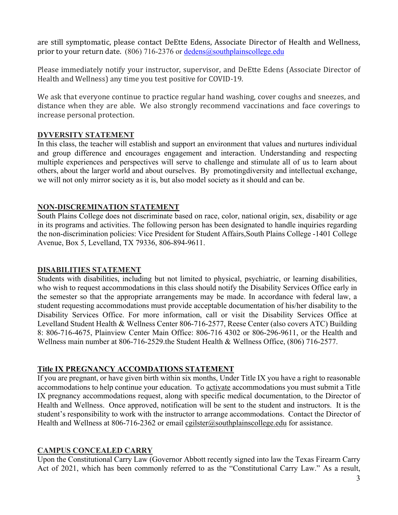are still symptomatic, please contact DeEtte Edens, Associate Director of Health and Wellness, prior to your return date. (806) 716-2376 or  $dedens@southplain scollege.edu$ 

Please immediately notify your instructor, supervisor, and DeEtte Edens (Associate Director of Health and Wellness) any time you test positive for COVID-19.

We ask that everyone continue to practice regular hand washing, cover coughs and sneezes, and distance when they are able. We also strongly recommend vaccinations and face coverings to increase personal protection.

### **DYVERSITY STATEMENT**

In this class, the teacher will establish and support an environment that values and nurtures individual and group difference and encourages engagement and interaction. Understanding and respecting multiple experiences and perspectives will serve to challenge and stimulate all of us to learn about others, about the larger world and about ourselves. By promotingdiversity and intellectual exchange, we will not only mirror society as it is, but also model society as it should and can be.

### **NON-DISCREMINATION STATEMENT**

South Plains College does not discriminate based on race, color, national origin, sex, disability or age in its programs and activities. The following person has been designated to handle inquiries regarding the non-discrimination policies: Vice President for Student Affairs,South Plains College -1401 College Avenue, Box 5, Levelland, TX 79336, 806-894-9611.

### **DISABILITIES STATEMENT**

Students with disabilities, including but not limited to physical, psychiatric, or learning disabilities, who wish to request accommodations in this class should notify the Disability Services Office early in the semester so that the appropriate arrangements may be made. In accordance with federal law, a student requesting accommodations must provide acceptable documentation of his/her disability to the Disability Services Office. For more information, call or visit the Disability Services Office at Levelland Student Health & Wellness Center 806-716-2577, Reese Center (also covers ATC) Building 8: 806-716-4675, Plainview Center Main Office: 806-716 4302 or 806-296-9611, or the Health and Wellness main number at 806-716-2529.the Student Health & Wellness Office, (806) 716-2577.

### **Title IX PREGNANCY ACCOMDATIONS STATEMENT**

If you are pregnant, or have given birth within six months, Under Title IX you have a right to reasonable accommodations to help continue your education. To activate accommodations you must submit a Title IX pregnancy accommodations request, along with specific medical documentation, to the Director of Health and Wellness. Once approved, notification will be sent to the student and instructors. It is the student's responsibility to work with the instructor to arrange accommodations. Contact the Director of Health and Wellness at 806-716-2362 or email cgilster@southplainscollege.edu for assistance.

### **CAMPUS CONCEALED CARRY**

Upon the Constitutional Carry Law (Governor Abbott recently signed into law the Texas Firearm Carry Act of 2021, which has been commonly referred to as the "Constitutional Carry Law." As a result,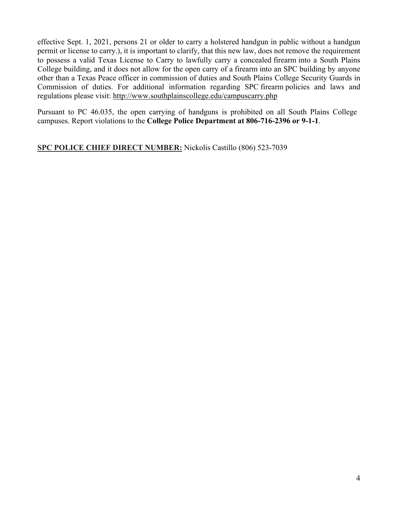effective Sept. 1, 2021, persons 21 or older to carry a holstered handgun in public without a handgun permit or license to carry.), it is important to clarify, that this new law, does not remove the requirement to possess a valid Texas License to Carry to lawfully carry a concealed firearm into a South Plains College building, and it does not allow for the open carry of a firearm into an SPC building by anyone other than a Texas Peace officer in commission of duties and South Plains College Security Guards in Commission of duties. For additional information regarding SPC firearm policies and laws and regulations please visit: http://www.southplainscollege.edu/campuscarry.php

Pursuant to PC 46.035, the open carrying of handguns is prohibited on all South Plains College campuses. Report violations to the **College Police Department at 806-716-2396 or 9-1-1**.

**SPC POLICE CHIEF DIRECT NUMBER:** Nickolis Castillo (806) 523-7039